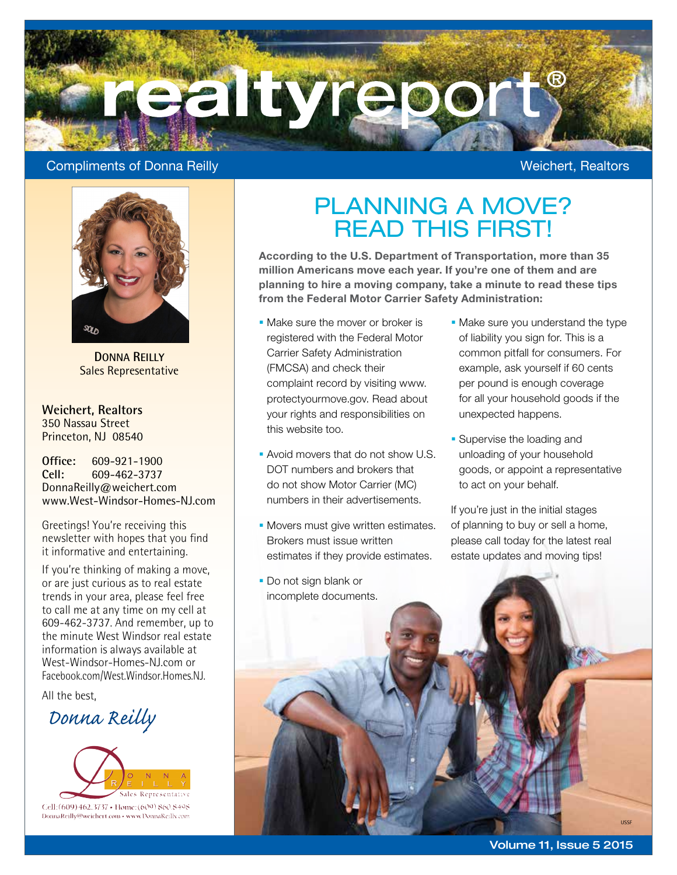

### Compliments of Donna Reilly Weichert, Realtors



**DONNA REILLY** Sales Representative

**Weichert, Realtors** 350 Nassau Street Princeton, NJ 08540

**Office:** 609-921-1900<br> **Cell:** 609-462-3737 **Cell:** 609-462-3737 DonnaReilly@weichert.com www.West-Windsor-Homes-NJ.com

Greetings! You're receiving this newsletter with hopes that you find it informative and entertaining.

If you're thinking of making a move, or are just curious as to real estate trends in your area, please feel free to call me at any time on my cell at 609-462-3737. And remember, up to the minute West Windsor real estate information is always available at West-Windsor-Homes-NJ.com or Facebook.com/West.Windsor.Homes.NJ.

All the best,

 *Donna Reilly*



### PLANNING A MOVE? READ THIS FIRST!

According to the U.S. Department of Transportation, more than 35 million Americans move each year. If you're one of them and are planning to hire a moving company, take a minute to read these tips from the Federal Motor Carrier Safety Administration:

- **Make sure the mover or broker is** registered with the Federal Motor Carrier Safety Administration (FMCSA) and check their complaint record by visiting www. protectyourmove.gov. Read about your rights and responsibilities on this website too.
- **Avoid movers that do not show U.S.** DOT numbers and brokers that do not show Motor Carrier (MC) numbers in their advertisements.
- **Movers must give written estimates.** Brokers must issue written estimates if they provide estimates.
- Do not sign blank or
- Make sure you understand the type of liability you sign for. This is a common pitfall for consumers. For example, ask yourself if 60 cents per pound is enough coverage for all your household goods if the unexpected happens.
- **Supervise the loading and** unloading of your household goods, or appoint a representative to act on your behalf.

If you're just in the initial stages of planning to buy or sell a home, please call today for the latest real estate updates and moving tips!

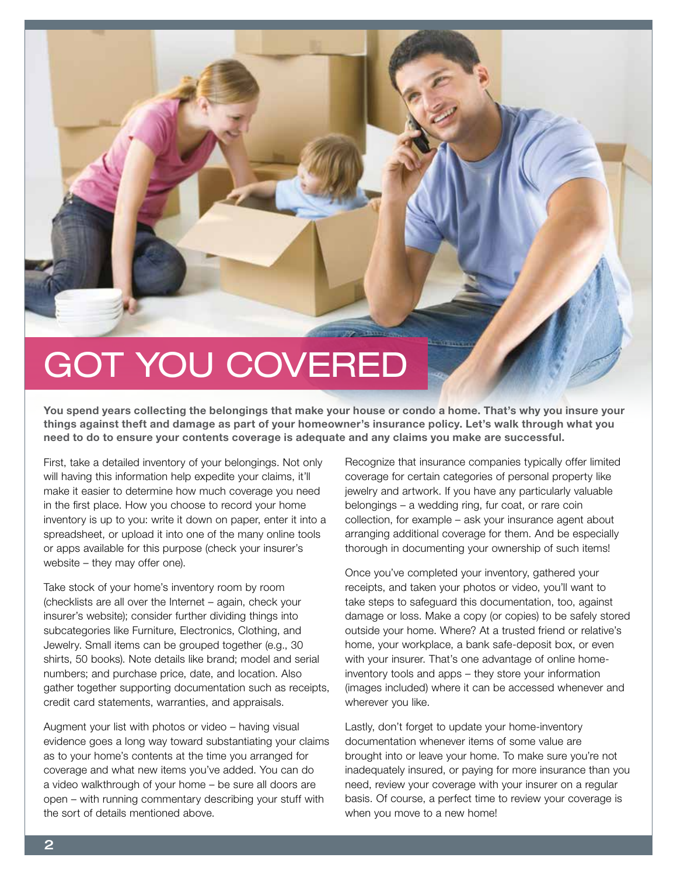

You spend years collecting the belongings that make your house or condo a home. That's why you insure your things against theft and damage as part of your homeowner's insurance policy. Let's walk through what you need to do to ensure your contents coverage is adequate and any claims you make are successful.

First, take a detailed inventory of your belongings. Not only will having this information help expedite your claims, it'll make it easier to determine how much coverage you need in the first place. How you choose to record your home inventory is up to you: write it down on paper, enter it into a spreadsheet, or upload it into one of the many online tools or apps available for this purpose (check your insurer's website – they may offer one).

Take stock of your home's inventory room by room (checklists are all over the Internet – again, check your insurer's website); consider further dividing things into subcategories like Furniture, Electronics, Clothing, and Jewelry. Small items can be grouped together (e.g., 30 shirts, 50 books). Note details like brand; model and serial numbers; and purchase price, date, and location. Also gather together supporting documentation such as receipts, credit card statements, warranties, and appraisals.

Augment your list with photos or video – having visual evidence goes a long way toward substantiating your claims as to your home's contents at the time you arranged for coverage and what new items you've added. You can do a video walkthrough of your home – be sure all doors are open – with running commentary describing your stuff with the sort of details mentioned above.

Recognize that insurance companies typically offer limited coverage for certain categories of personal property like jewelry and artwork. If you have any particularly valuable belongings – a wedding ring, fur coat, or rare coin collection, for example – ask your insurance agent about arranging additional coverage for them. And be especially thorough in documenting your ownership of such items!

Once you've completed your inventory, gathered your receipts, and taken your photos or video, you'll want to take steps to safeguard this documentation, too, against damage or loss. Make a copy (or copies) to be safely stored outside your home. Where? At a trusted friend or relative's home, your workplace, a bank safe-deposit box, or even with your insurer. That's one advantage of online homeinventory tools and apps – they store your information (images included) where it can be accessed whenever and wherever you like.

Lastly, don't forget to update your home-inventory documentation whenever items of some value are brought into or leave your home. To make sure you're not inadequately insured, or paying for more insurance than you need, review your coverage with your insurer on a regular basis. Of course, a perfect time to review your coverage is when you move to a new home!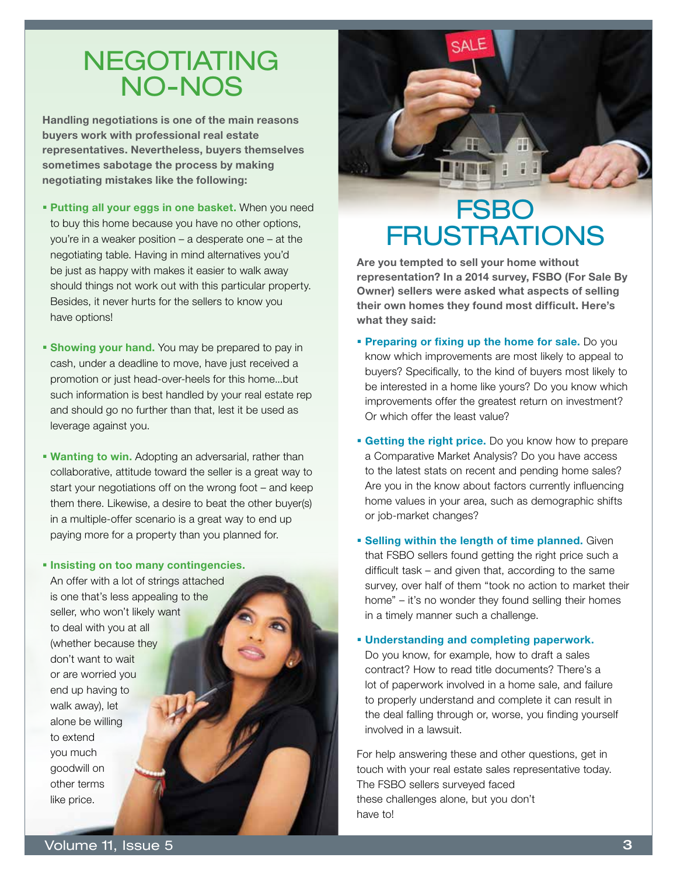### NEGOTIATING NO-NOS

Handling negotiations is one of the main reasons buyers work with professional real estate representatives. Nevertheless, buyers themselves sometimes sabotage the process by making negotiating mistakes like the following:

- **Putting all your eggs in one basket.** When you need to buy this home because you have no other options, you're in a weaker position – a desperate one – at the negotiating table. Having in mind alternatives you'd be just as happy with makes it easier to walk away should things not work out with this particular property. Besides, it never hurts for the sellers to know you have options!
- **Showing your hand.** You may be prepared to pay in cash, under a deadline to move, have just received a promotion or just head-over-heels for this home...but such information is best handled by your real estate rep and should go no further than that, lest it be used as leverage against you.
- **Wanting to win.** Adopting an adversarial, rather than collaborative, attitude toward the seller is a great way to start your negotiations off on the wrong foot – and keep them there. Likewise, a desire to beat the other buyer(s) in a multiple-offer scenario is a great way to end up paying more for a property than you planned for.

#### **Insisting on too many contingencies.**

An offer with a lot of strings attached is one that's less appealing to the seller, who won't likely want to deal with you at all (whether because they don't want to wait or are worried you end up having to walk away), let alone be willing to extend you much goodwill on other terms like price.



### **FSBO FRUSTRATIONS**

Are you tempted to sell your home without representation? In a 2014 survey, FSBO (For Sale By Owner) sellers were asked what aspects of selling their own homes they found most difficult. Here's what they said:

- **Preparing or fixing up the home for sale.** Do you know which improvements are most likely to appeal to buyers? Specifically, to the kind of buyers most likely to be interested in a home like yours? Do you know which improvements offer the greatest return on investment? Or which offer the least value?
- **Getting the right price.** Do you know how to prepare a Comparative Market Analysis? Do you have access to the latest stats on recent and pending home sales? Are you in the know about factors currently influencing home values in your area, such as demographic shifts or job-market changes?
- **Selling within the length of time planned.** Given that FSBO sellers found getting the right price such a difficult task – and given that, according to the same survey, over half of them "took no action to market their home" – it's no wonder they found selling their homes in a timely manner such a challenge.
- Understanding and completing paperwork. Do you know, for example, how to draft a sales contract? How to read title documents? There's a lot of paperwork involved in a home sale, and failure to properly understand and complete it can result in the deal falling through or, worse, you finding yourself involved in a lawsuit.

For help answering these and other questions, get in touch with your real estate sales representative today. The FSBO sellers surveyed faced these challenges alone, but you don't have to!